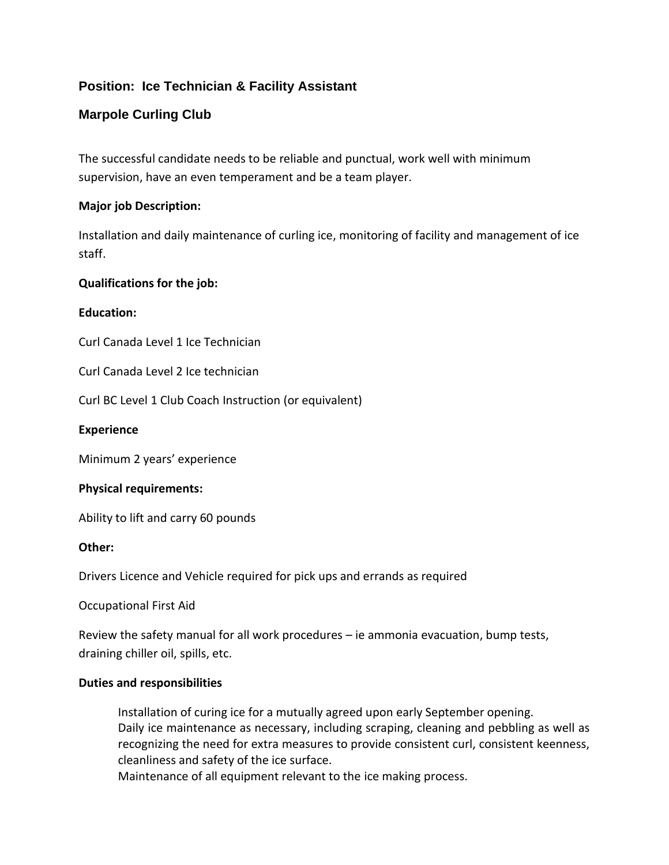# **Position: Ice Technician & Facility Assistant**

## **Marpole Curling Club**

The successful candidate needs to be reliable and punctual, work well with minimum supervision, have an even temperament and be a team player.

### **Major job Description:**

Installation and daily maintenance of curling ice, monitoring of facility and management of ice staff.

### **Qualifications for the job:**

### **Education:**

Curl Canada Level 1 Ice Technician

Curl Canada Level 2 Ice technician

Curl BC Level 1 Club Coach Instruction (or equivalent)

#### **Experience**

Minimum 2 years' experience

### **Physical requirements:**

Ability to lift and carry 60 pounds

#### **Other:**

Drivers Licence and Vehicle required for pick ups and errands as required

Occupational First Aid

Review the safety manual for all work procedures – ie ammonia evacuation, bump tests, draining chiller oil, spills, etc.

#### **Duties and responsibilities**

Installation of curing ice for a mutually agreed upon early September opening. Daily ice maintenance as necessary, including scraping, cleaning and pebbling as well as recognizing the need for extra measures to provide consistent curl, consistent keenness, cleanliness and safety of the ice surface.

Maintenance of all equipment relevant to the ice making process.